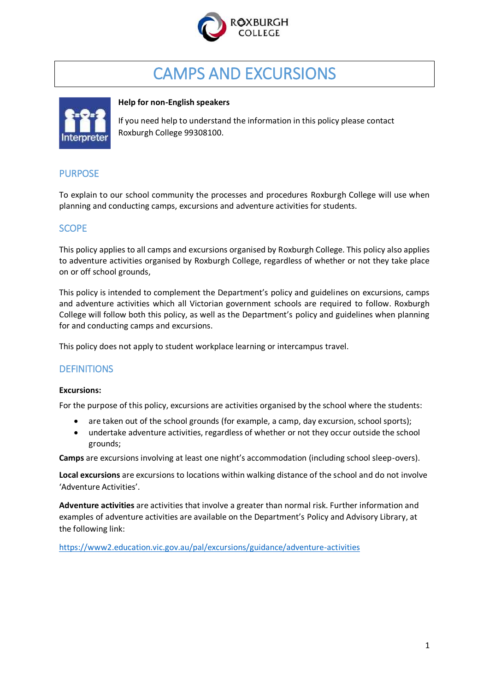

# CAMPS AND EXCURSIONS



#### **Help for non-English speakers**

If you need help to understand the information in this policy please contact Roxburgh College 99308100.

# **PURPOSE**

To explain to our school community the processes and procedures Roxburgh College will use when planning and conducting camps, excursions and adventure activities for students.

# **SCOPE**

This policy applies to all camps and excursions organised by Roxburgh College. This policy also applies to adventure activities organised by Roxburgh College, regardless of whether or not they take place on or off school grounds,

This policy is intended to complement the Department's policy and guidelines on excursions, camps and adventure activities which all Victorian government schools are required to follow. Roxburgh College will follow both this policy, as well as the Department's policy and guidelines when planning for and conducting camps and excursions.

This policy does not apply to student workplace learning or intercampus travel.

# **DEFINITIONS**

#### **Excursions:**

For the purpose of this policy, excursions are activities organised by the school where the students:

- are taken out of the school grounds (for example, a camp, day excursion, school sports);
- undertake adventure activities, regardless of whether or not they occur outside the school grounds;

**Camps** are excursions involving at least one night's accommodation (including school sleep-overs).

**Local excursions** are excursions to locations within walking distance of the school and do not involve 'Adventure Activities'.

**Adventure activities** are activities that involve a greater than normal risk. Further information and examples of adventure activities are available on the Department's Policy and Advisory Library, at the following link:

<https://www2.education.vic.gov.au/pal/excursions/guidance/adventure-activities>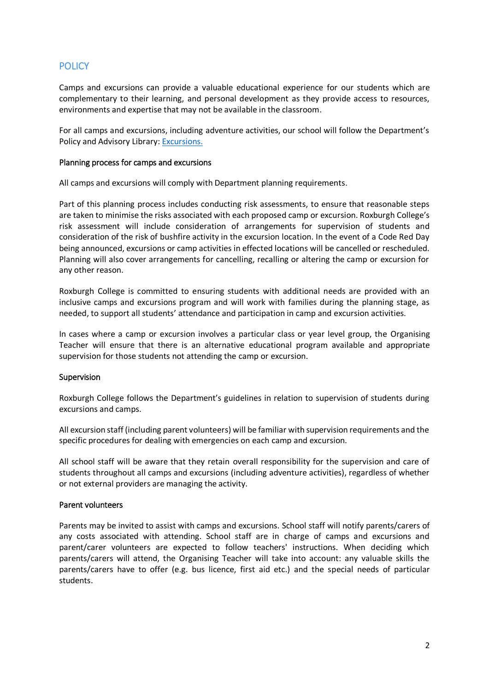# **POLICY**

Camps and excursions can provide a valuable educational experience for our students which are complementary to their learning, and personal development as they provide access to resources, environments and expertise that may not be available in the classroom.

For all camps and excursions, including adventure activities, our school will follow the Department's Policy and Advisory Library[: Excursions.](https://www2.education.vic.gov.au/pal/excursions/policy)

#### Planning process for camps and excursions

All camps and excursions will comply with Department planning requirements.

Part of this planning process includes conducting risk assessments, to ensure that reasonable steps are taken to minimise the risks associated with each proposed camp or excursion. Roxburgh College's risk assessment will include consideration of arrangements for supervision of students and consideration of the risk of bushfire activity in the excursion location. In the event of a Code Red Day being announced, excursions or camp activities in effected locations will be cancelled or rescheduled. Planning will also cover arrangements for cancelling, recalling or altering the camp or excursion for any other reason.

Roxburgh College is committed to ensuring students with additional needs are provided with an inclusive camps and excursions program and will work with families during the planning stage, as needed, to support all students' attendance and participation in camp and excursion activities.

In cases where a camp or excursion involves a particular class or year level group, the Organising Teacher will ensure that there is an alternative educational program available and appropriate supervision for those students not attending the camp or excursion.

#### Supervision

Roxburgh College follows the Department's guidelines in relation to supervision of students during excursions and camps.

All excursion staff (including parent volunteers) will be familiar with supervision requirements and the specific procedures for dealing with emergencies on each camp and excursion.

All school staff will be aware that they retain overall responsibility for the supervision and care of students throughout all camps and excursions (including adventure activities), regardless of whether or not external providers are managing the activity.

#### Parent volunteers

Parents may be invited to assist with camps and excursions. School staff will notify parents/carers of any costs associated with attending. School staff are in charge of camps and excursions and parent/carer volunteers are expected to follow teachers' instructions. When deciding which parents/carers will attend, the Organising Teacher will take into account: any valuable skills the parents/carers have to offer (e.g. bus licence, first aid etc.) and the special needs of particular students.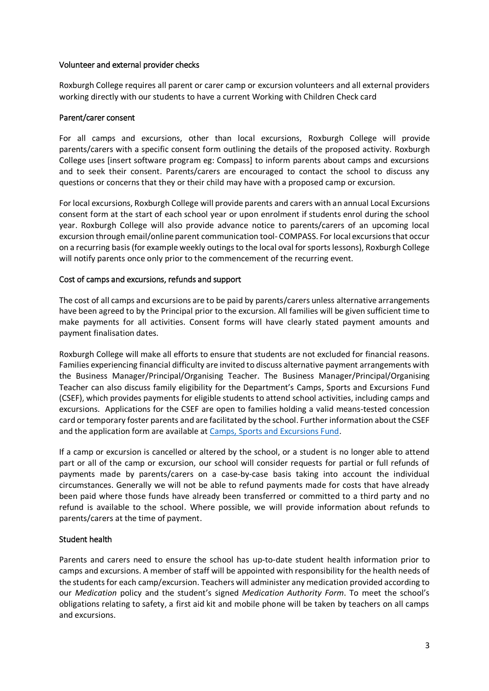#### Volunteer and external provider checks

Roxburgh College requires all parent or carer camp or excursion volunteers and all external providers working directly with our students to have a current Working with Children Check card

#### Parent/carer consent

For all camps and excursions, other than local excursions, Roxburgh College will provide parents/carers with a specific consent form outlining the details of the proposed activity. Roxburgh College uses [insert software program eg: Compass] to inform parents about camps and excursions and to seek their consent. Parents/carers are encouraged to contact the school to discuss any questions or concerns that they or their child may have with a proposed camp or excursion.

For local excursions, Roxburgh College will provide parents and carers with an annual Local Excursions consent form at the start of each school year or upon enrolment if students enrol during the school year. Roxburgh College will also provide advance notice to parents/carers of an upcoming local excursion through email/online parent communication tool- COMPASS. For local excursions that occur on a recurring basis(for example weekly outings to the local oval for sports lessons), Roxburgh College will notify parents once only prior to the commencement of the recurring event.

#### Cost of camps and excursions, refunds and support

The cost of all camps and excursions are to be paid by parents/carers unless alternative arrangements have been agreed to by the Principal prior to the excursion. All families will be given sufficient time to make payments for all activities. Consent forms will have clearly stated payment amounts and payment finalisation dates.

Roxburgh College will make all efforts to ensure that students are not excluded for financial reasons. Families experiencing financial difficulty are invited to discuss alternative payment arrangements with the Business Manager/Principal/Organising Teacher. The Business Manager/Principal/Organising Teacher can also discuss family eligibility for the Department's Camps, Sports and Excursions Fund (CSEF), which provides payments for eligible students to attend school activities, including camps and excursions. Applications for the CSEF are open to families holding a valid means-tested concession card or temporary foster parents and are facilitated by the school. Further information about the CSEF and the application form are available a[t Camps, Sports and Excursions Fund.](https://www2.education.vic.gov.au/pal/camps-sports-and-excursions-fund/policy)

If a camp or excursion is cancelled or altered by the school, or a student is no longer able to attend part or all of the camp or excursion, our school will consider requests for partial or full refunds of payments made by parents/carers on a case-by-case basis taking into account the individual circumstances. Generally we will not be able to refund payments made for costs that have already been paid where those funds have already been transferred or committed to a third party and no refund is available to the school. Where possible, we will provide information about refunds to parents/carers at the time of payment.

#### Student health

Parents and carers need to ensure the school has up-to-date student health information prior to camps and excursions. A member of staff will be appointed with responsibility for the health needs of the students for each camp/excursion. Teachers will administer any medication provided according to our *Medication* policy and the student's signed *Medication Authority Form*. To meet the school's obligations relating to safety, a first aid kit and mobile phone will be taken by teachers on all camps and excursions.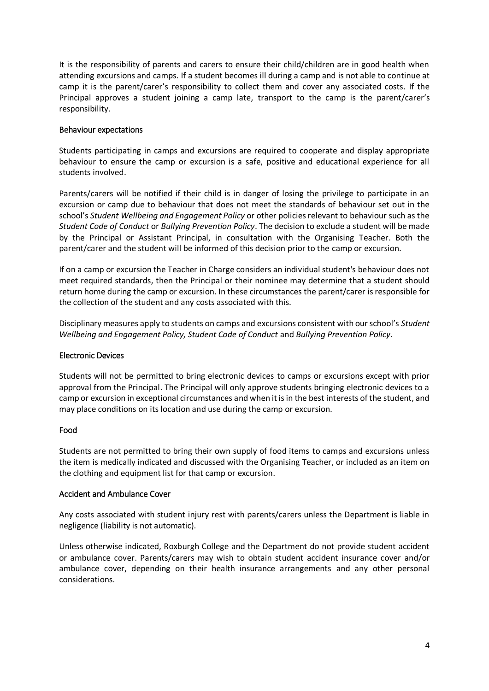It is the responsibility of parents and carers to ensure their child/children are in good health when attending excursions and camps. If a student becomes ill during a camp and is not able to continue at camp it is the parent/carer's responsibility to collect them and cover any associated costs. If the Principal approves a student joining a camp late, transport to the camp is the parent/carer's responsibility.

#### Behaviour expectations

Students participating in camps and excursions are required to cooperate and display appropriate behaviour to ensure the camp or excursion is a safe, positive and educational experience for all students involved.

Parents/carers will be notified if their child is in danger of losing the privilege to participate in an excursion or camp due to behaviour that does not meet the standards of behaviour set out in the school's *Student Wellbeing and Engagement Policy* or other policies relevant to behaviour such as the *Student Code of Conduct* or *Bullying Prevention Policy*. The decision to exclude a student will be made by the Principal or Assistant Principal, in consultation with the Organising Teacher. Both the parent/carer and the student will be informed of this decision prior to the camp or excursion.

If on a camp or excursion the Teacher in Charge considers an individual student's behaviour does not meet required standards, then the Principal or their nominee may determine that a student should return home during the camp or excursion. In these circumstances the parent/carer is responsible for the collection of the student and any costs associated with this.

Disciplinary measures apply to students on camps and excursions consistent with our school's *Student Wellbeing and Engagement Policy, Student Code of Conduct* and *Bullying Prevention Policy*.

#### Electronic Devices

Students will not be permitted to bring electronic devices to camps or excursions except with prior approval from the Principal. The Principal will only approve students bringing electronic devices to a camp or excursion in exceptional circumstances and when it is in the best interests of the student, and may place conditions on its location and use during the camp or excursion.

#### Food

Students are not permitted to bring their own supply of food items to camps and excursions unless the item is medically indicated and discussed with the Organising Teacher, or included as an item on the clothing and equipment list for that camp or excursion.

#### Accident and Ambulance Cover

Any costs associated with student injury rest with parents/carers unless the Department is liable in negligence (liability is not automatic).

Unless otherwise indicated, Roxburgh College and the Department do not provide student accident or ambulance cover. Parents/carers may wish to obtain student accident insurance cover and/or ambulance cover, depending on their health insurance arrangements and any other personal considerations.